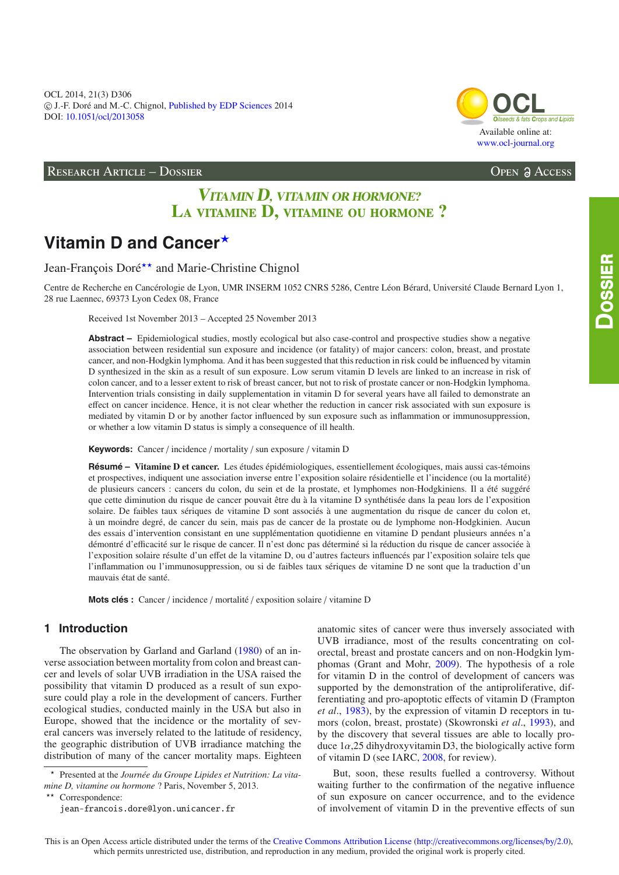OCL 2014, 21(3) D306 -c J.-F. Doré and M.-C. Chignol, [Published by EDP Sciences](http://www.edpsciences.org) 2014 DOI: 10.1051/ocl/[2013058](http://dx.doi.org/10.1051/ocl/2013058)

RESEARCH ARTICLE – DOSSIER Open Access

## Available online at: [www.ocl-journal.org](http://www.ocl-journal.org) **[OCL](http://www.ocl-journal.org)** *Oilseeds & fats Crops and Lipids*

# **VITAMIN D, VITAMIN OR HORMONE? L**a vitamine **D,** vitamine ou hormone **?**

# Vitamin D and Cancer\*

Jean-François Doré\*\* and Marie-Christine Chignol

Centre de Recherche en Cancérologie de Lyon, UMR INSERM 1052 CNRS 5286, Centre Léon Bérard, Université Claude Bernard Lyon 1, 28 rue Laennec, 69373 Lyon Cedex 08, France

Received 1st November 2013 – Accepted 25 November 2013

**Abstract –** Epidemiological studies, mostly ecological but also case-control and prospective studies show a negative association between residential sun exposure and incidence (or fatality) of major cancers: colon, breast, and prostate cancer, and non-Hodgkin lymphoma. And it has been suggested that this reduction in risk could be influenced by vitamin D synthesized in the skin as a result of sun exposure. Low serum vitamin D levels are linked to an increase in risk of colon cancer, and to a lesser extent to risk of breast cancer, but not to risk of prostate cancer or non-Hodgkin lymphoma. Intervention trials consisting in daily supplementation in vitamin D for several years have all failed to demonstrate an effect on cancer incidence. Hence, it is not clear whether the reduction in cancer risk associated with sun exposure is mediated by vitamin D or by another factor influenced by sun exposure such as inflammation or immunosuppression, or whether a low vitamin D status is simply a consequence of ill health.

**Keywords:** Cancer / incidence / mortality / sun exposure / vitamin D

**Résumé – Vitamine D et cancer.** Les études épidémiologiques, essentiellement écologiques, mais aussi cas-témoins et prospectives, indiquent une association inverse entre l'exposition solaire résidentielle et l'incidence (ou la mortalité) de plusieurs cancers : cancers du colon, du sein et de la prostate, et lymphomes non-Hodgkiniens. Il a été suggéré que cette diminution du risque de cancer pouvait être du à la vitamine D synthétisée dans la peau lors de l'exposition solaire. De faibles taux sériques de vitamine D sont associés à une augmentation du risque de cancer du colon et, à un moindre degré, de cancer du sein, mais pas de cancer de la prostate ou de lymphome non-Hodgkinien. Aucun des essais d'intervention consistant en une supplémentation quotidienne en vitamine D pendant plusieurs années n'a démontré d'efficacité sur le risque de cancer. Il n'est donc pas déterminé si la réduction du risque de cancer associée à l'exposition solaire résulte d'un effet de la vitamine D, ou d'autres facteurs influencés par l'exposition solaire tels que l'inflammation ou l'immunosuppression, ou si de faibles taux sériques de vitamine D ne sont que la traduction d'un mauvais état de santé.

which permits unrestricted use, distribution, and reproduction in any medium, provided the original work is properly cited.

**Mots clés :** Cancer / incidence / mortalité / exposition solaire / vitamine D

## **1 Introduction**

The observation by Garland and Garland [\(1980\)](#page-5-0) of an inverse association between mortality from colon and breast cancer and levels of solar UVB irradiation in the USA raised the possibility that vitamin D produced as a result of sun exposure could play a role in the development of cancers. Further ecological studies, conducted mainly in the USA but also in Europe, showed that the incidence or the mortality of several cancers was inversely related to the latitude of residency, the geographic distribution of UVB irradiance matching the distribution of many of the cancer mortality maps. Eighteen anatomic sites of cancer were thus inversely associated with UVB irradiance, most of the results concentrating on colorectal, breast and prostate cancers and on non-Hodgkin lymphomas (Grant and Mohr, [2009\)](#page-5-1). The hypothesis of a role for vitamin D in the control of development of cancers was supported by the demonstration of the antiproliferative, differentiating and pro-apoptotic effects of vitamin D (Frampton *et al*., [1983\)](#page-4-0), by the expression of vitamin D receptors in tumors (colon, breast, prostate) (Skowronski *et al*., [1993](#page-5-2)), and by the discovery that several tissues are able to locally produce  $1\alpha$ ,25 dihydroxyvitamin D3, the biologically active form of vitamin D (see IARC, [2008](#page-5-3), for review).

But, soon, these results fuelled a controversy. Without waiting further to the confirmation of the negative influence of sun exposure on cancer occurrence, and to the evidence of involvement of vitamin D in the preventive effects of sun

 $\star$  Presented at the *Journée du Groupe Lipides et Nutrition: La vitamine D, vitamine ou hormone* ? Paris, November 5, 2013.

<sup>\*\*</sup> Correspondence:

jean-francois.dore@lyon.unicancer.fr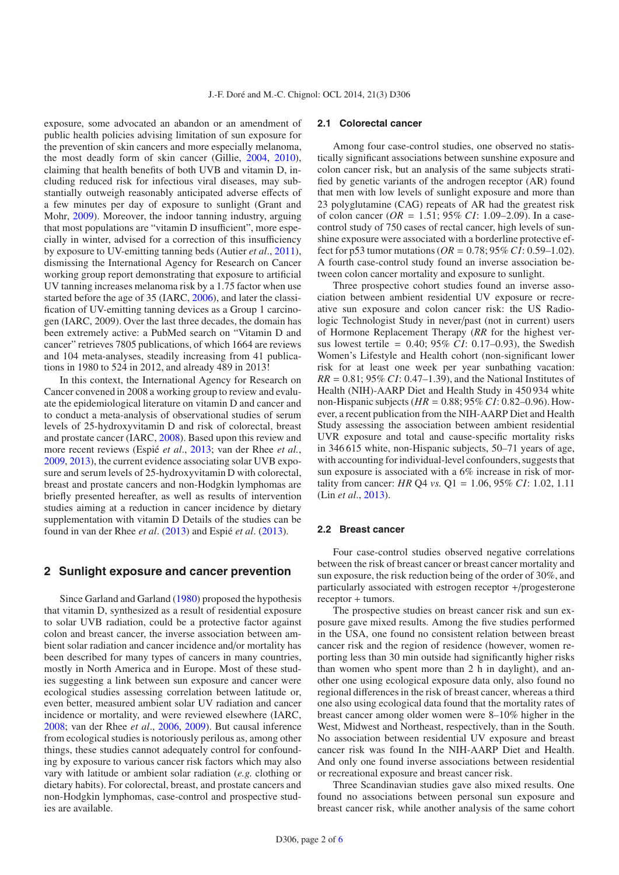exposure, some advocated an abandon or an amendment of public health policies advising limitation of sun exposure for the prevention of skin cancers and more especially melanoma, the most deadly form of skin cancer (Gillie, [2004,](#page-5-4) [2010](#page-5-5)), claiming that health benefits of both UVB and vitamin D, including reduced risk for infectious viral diseases, may substantially outweigh reasonably anticipated adverse effects of a few minutes per day of exposure to sunlight (Grant and Mohr, [2009](#page-5-1)). Moreover, the indoor tanning industry, arguing that most populations are "vitamin D insufficient", more especially in winter, advised for a correction of this insufficiency by exposure to UV-emitting tanning beds (Autier *et al*., [2011](#page-4-1)), dismissing the International Agency for Research on Cancer working group report demonstrating that exposure to artificial UV tanning increases melanoma risk by a 1.75 factor when use started before the age of 35 (IARC, [2006\)](#page-5-6), and later the classification of UV-emitting tanning devices as a Group 1 carcinogen (IARC, 2009). Over the last three decades, the domain has been extremely active: a PubMed search on "Vitamin D and cancer" retrieves 7805 publications, of which 1664 are reviews and 104 meta-analyses, steadily increasing from 41 publications in 1980 to 524 in 2012, and already 489 in 2013!

In this context, the International Agency for Research on Cancer convened in 2008 a working group to review and evaluate the epidemiological literature on vitamin D and cancer and to conduct a meta-analysis of observational studies of serum levels of 25-hydroxyvitamin D and risk of colorectal, breast and prostate cancer (IARC, [2008](#page-5-3)). Based upon this review and more recent reviews (Espié *et al*., [2013](#page-4-2); van der Rhee *et al.*, [2009,](#page-5-7) [2013\)](#page-5-8), the current evidence associating solar UVB exposure and serum levels of 25-hydroxyvitamin D with colorectal, breast and prostate cancers and non-Hodgkin lymphomas are briefly presented hereafter, as well as results of intervention studies aiming at a reduction in cancer incidence by dietary supplementation with vitamin D Details of the studies can be found in van der Rhee *et al*. [\(2013\)](#page-5-8) and Espié *et al*. [\(2013\)](#page-4-2).

## **2 Sunlight exposure and cancer prevention**

Since Garland and Garland [\(1980\)](#page-5-0) proposed the hypothesis that vitamin D, synthesized as a result of residential exposure to solar UVB radiation, could be a protective factor against colon and breast cancer, the inverse association between ambient solar radiation and cancer incidence and/or mortality has been described for many types of cancers in many countries, mostly in North America and in Europe. Most of these studies suggesting a link between sun exposure and cancer were ecological studies assessing correlation between latitude or, even better, measured ambient solar UV radiation and cancer incidence or mortality, and were reviewed elsewhere (IARC, [2008;](#page-5-3) van der Rhee *et al*., [2006](#page-5-9), [2009\)](#page-5-7). But causal inference from ecological studies is notoriously perilous as, among other things, these studies cannot adequately control for confounding by exposure to various cancer risk factors which may also vary with latitude or ambient solar radiation (*e.g.* clothing or dietary habits). For colorectal, breast, and prostate cancers and non-Hodgkin lymphomas, case-control and prospective studies are available.

#### **2.1 Colorectal cancer**

Among four case-control studies, one observed no statistically significant associations between sunshine exposure and colon cancer risk, but an analysis of the same subjects stratified by genetic variants of the androgen receptor (AR) found that men with low levels of sunlight exposure and more than 23 polyglutamine (CAG) repeats of AR had the greatest risk of colon cancer (*OR* = 1.51; 95% *CI*: 1.09–2.09). In a casecontrol study of 750 cases of rectal cancer, high levels of sunshine exposure were associated with a borderline protective effect for p53 tumor mutations (*OR* = 0.78; 95% *CI*: 0.59–1.02). A fourth case-control study found an inverse association between colon cancer mortality and exposure to sunlight.

Three prospective cohort studies found an inverse association between ambient residential UV exposure or recreative sun exposure and colon cancer risk: the US Radiologic Technologist Study in never/past (not in current) users of Hormone Replacement Therapy (*RR* for the highest versus lowest tertile = 0.40; 95% *CI*: 0.17–0.93), the Swedish Women's Lifestyle and Health cohort (non-significant lower risk for at least one week per year sunbathing vacation: *RR* = 0.81; 95% *CI*: 0.47–1.39), and the National Institutes of Health (NIH)-AARP Diet and Health Study in 450 934 white non-Hispanic subjects (*HR* = 0.88; 95% *CI*: 0.82–0.96). However, a recent publication from the NIH-AARP Diet and Health Study assessing the association between ambient residential UVR exposure and total and cause-specific mortality risks in 346 615 white, non-Hispanic subjects, 50–71 years of age, with accounting for individual-level confounders, suggests that sun exposure is associated with a 6% increase in risk of mortality from cancer: *HR* Q4 *vs.* Q1 = 1.06, 95% *CI*: 1.02, 1.11 (Lin *et al*., [2013\)](#page-5-10).

## **2.2 Breast cancer**

Four case-control studies observed negative correlations between the risk of breast cancer or breast cancer mortality and sun exposure, the risk reduction being of the order of 30%, and particularly associated with estrogen receptor +/progesterone receptor + tumors.

The prospective studies on breast cancer risk and sun exposure gave mixed results. Among the five studies performed in the USA, one found no consistent relation between breast cancer risk and the region of residence (however, women reporting less than 30 min outside had significantly higher risks than women who spent more than 2 h in daylight), and another one using ecological exposure data only, also found no regional differences in the risk of breast cancer, whereas a third one also using ecological data found that the mortality rates of breast cancer among older women were 8–10% higher in the West, Midwest and Northeast, respectively, than in the South. No association between residential UV exposure and breast cancer risk was found In the NIH-AARP Diet and Health. And only one found inverse associations between residential or recreational exposure and breast cancer risk.

Three Scandinavian studies gave also mixed results. One found no associations between personal sun exposure and breast cancer risk, while another analysis of the same cohort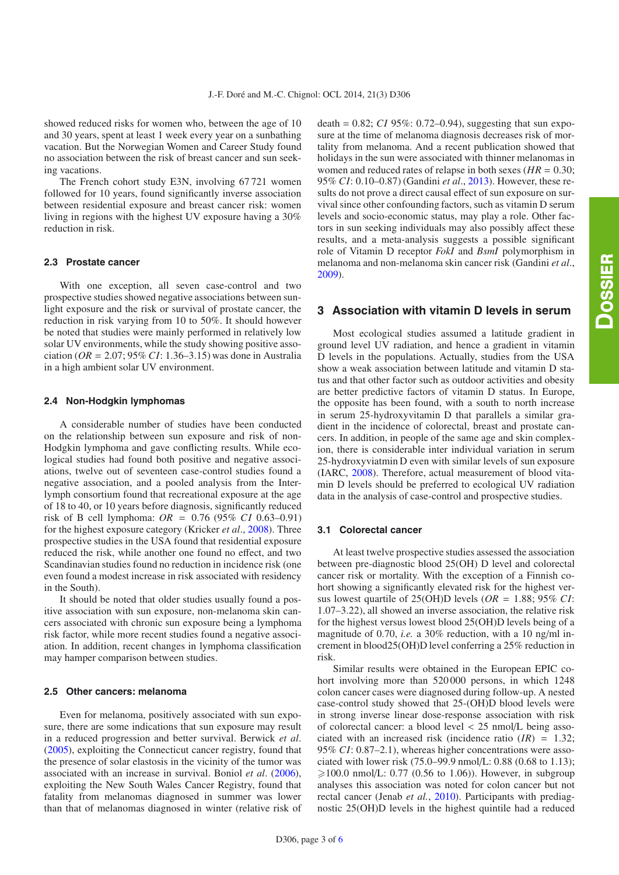showed reduced risks for women who, between the age of 10 and 30 years, spent at least 1 week every year on a sunbathing vacation. But the Norwegian Women and Career Study found no association between the risk of breast cancer and sun seeking vacations.

The French cohort study E3N, involving 67 721 women followed for 10 years, found significantly inverse association between residential exposure and breast cancer risk: women living in regions with the highest UV exposure having a 30% reduction in risk.

#### **2.3 Prostate cancer**

With one exception, all seven case-control and two prospective studies showed negative associations between sunlight exposure and the risk or survival of prostate cancer, the reduction in risk varying from 10 to 50%. It should however be noted that studies were mainly performed in relatively low solar UV environments, while the study showing positive association (*OR* = 2.07; 95% *CI*: 1.36–3.15) was done in Australia in a high ambient solar UV environment.

## **2.4 Non-Hodgkin lymphomas**

A considerable number of studies have been conducted on the relationship between sun exposure and risk of non-Hodgkin lymphoma and gave conflicting results. While ecological studies had found both positive and negative associations, twelve out of seventeen case-control studies found a negative association, and a pooled analysis from the Interlymph consortium found that recreational exposure at the age of 18 to 40, or 10 years before diagnosis, significantly reduced risk of B cell lymphoma: *OR* = 0.76 (95% *CI* 0.63–0.91) for the highest exposure category (Kricker *et al*., [2008\)](#page-5-12). Three prospective studies in the USA found that residential exposure reduced the risk, while another one found no effect, and two Scandinavian studies found no reduction in incidence risk (one even found a modest increase in risk associated with residency in the South).

It should be noted that older studies usually found a positive association with sun exposure, non-melanoma skin cancers associated with chronic sun exposure being a lymphoma risk factor, while more recent studies found a negative association. In addition, recent changes in lymphoma classification may hamper comparison between studies.

## **2.5 Other cancers: melanoma**

Even for melanoma, positively associated with sun exposure, there are some indications that sun exposure may result in a reduced progression and better survival. Berwick *et al*. [\(2005\)](#page-4-3), exploiting the Connecticut cancer registry, found that the presence of solar elastosis in the vicinity of the tumor was associated with an increase in survival. Boniol *et al*. [\(2006](#page-4-4)), exploiting the New South Wales Cancer Registry, found that fatality from melanomas diagnosed in summer was lower than that of melanomas diagnosed in winter (relative risk of death =  $0.82$ ; *CI* 95%: 0.72–0.94), suggesting that sun exposure at the time of melanoma diagnosis decreases risk of mortality from melanoma. And a recent publication showed that holidays in the sun were associated with thinner melanomas in women and reduced rates of relapse in both sexes  $(HR = 0.30)$ ; 95% *CI*: 0.10–0.87) (Gandini *et al*., [2013\)](#page-5-13). However, these results do not prove a direct causal effect of sun exposure on survival since other confounding factors, such as vitamin D serum levels and socio-economic status, may play a role. Other factors in sun seeking individuals may also possibly affect these results, and a meta-analysis suggests a possible significant role of Vitamin D receptor *FokI* and *BsmI* polymorphism in melanoma and non-melanoma skin cancer risk (Gandini *et al*., [2009\)](#page-5-14).

## **3 Association with vitamin D levels in serum**

Most ecological studies assumed a latitude gradient in ground level UV radiation, and hence a gradient in vitamin D levels in the populations. Actually, studies from the USA show a weak association between latitude and vitamin D status and that other factor such as outdoor activities and obesity are better predictive factors of vitamin D status. In Europe, the opposite has been found, with a south to north increase in serum 25-hydroxyvitamin D that parallels a similar gradient in the incidence of colorectal, breast and prostate cancers. In addition, in people of the same age and skin complexion, there is considerable inter individual variation in serum 25-hydroxyviatmin D even with similar levels of sun exposure (IARC, [2008\)](#page-5-3). Therefore, actual measurement of blood vitamin D levels should be preferred to ecological UV radiation data in the analysis of case-control and prospective studies.

## **3.1 Colorectal cancer**

At least twelve prospective studies assessed the association between pre-diagnostic blood 25(OH) D level and colorectal cancer risk or mortality. With the exception of a Finnish cohort showing a significantly elevated risk for the highest versus lowest quartile of 25(OH)D levels (*OR* = 1.88; 95% *CI*: 1.07–3.22), all showed an inverse association, the relative risk for the highest versus lowest blood 25(OH)D levels being of a magnitude of 0.70, *i.e.* a 30% reduction, with a 10 ng/ml increment in blood25(OH)D level conferring a 25% reduction in risk.

Similar results were obtained in the European EPIC cohort involving more than 520 000 persons, in which 1248 colon cancer cases were diagnosed during follow-up. A nested case-control study showed that 25-(OH)D blood levels were in strong inverse linear dose-response association with risk of colorectal cancer: a blood level < 25 nmol/L being associated with an increased risk (incidence ratio (*IR*) = 1.32; 95% *CI*: 0.87–2.1), whereas higher concentrations were associated with lower risk (75.0–99.9 nmol/L: 0.88 (0.68 to 1.13); ≥100.0 nmol/L: 0.77 (0.56 to 1.06)). However, in subgroup analyses this association was noted for colon cancer but not rectal cancer (Jenab *et al.*, [2010\)](#page-5-15). Participants with prediagnostic 25(OH)D levels in the highest quintile had a reduced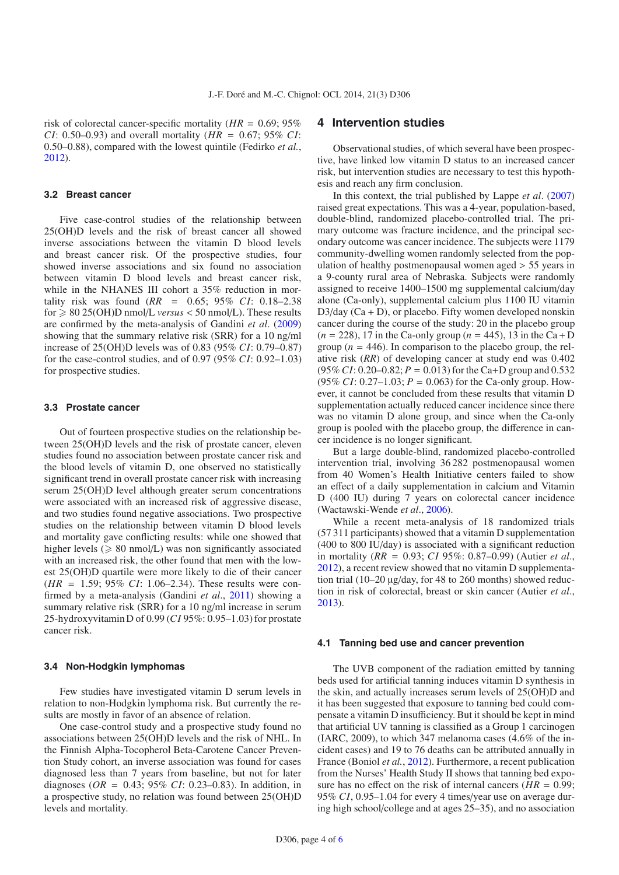risk of colorectal cancer-specific mortality (*HR* = 0.69; 95% *CI*: 0.50–0.93) and overall mortality (*HR* = 0.67; 95% *CI*: 0.50–0.88), compared with the lowest quintile (Fedirko *et al.*, [2012\)](#page-4-5).

#### **3.2 Breast cancer**

Five case-control studies of the relationship between 25(OH)D levels and the risk of breast cancer all showed inverse associations between the vitamin D blood levels and breast cancer risk. Of the prospective studies, four showed inverse associations and six found no association between vitamin D blood levels and breast cancer risk, while in the NHANES III cohort a 35% reduction in mortality risk was found (*RR* = 0.65; 95% *CI*: 0.18–2.38  $\text{for} \geqslant 80\,25(\text{OH})\text{D}$  nmol/L *versus* < 50 nmol/L). These results are confirmed by the meta-analysis of Gandini *et al*. [\(2009\)](#page-5-14) showing that the summary relative risk (SRR) for a 10 ng/ml increase of 25(OH)D levels was of 0.83 (95% *CI*: 0.79–0.87) for the case-control studies, and of 0.97 (95% *CI*: 0.92–1.03) for prospective studies.

#### **3.3 Prostate cancer**

Out of fourteen prospective studies on the relationship between 25(OH)D levels and the risk of prostate cancer, eleven studies found no association between prostate cancer risk and the blood levels of vitamin D, one observed no statistically significant trend in overall prostate cancer risk with increasing serum 25(OH)D level although greater serum concentrations were associated with an increased risk of aggressive disease, and two studies found negative associations. Two prospective studies on the relationship between vitamin D blood levels and mortality gave conflicting results: while one showed that higher levels ( $\geq 80$  nmol/L) was non significantly associated with an increased risk, the other found that men with the lowest 25(OH)D quartile were more likely to die of their cancer (*HR* = 1.59; 95% *CI*: 1.06–2.34). These results were confirmed by a meta-analysis (Gandini *et al*., [2011\)](#page-5-16) showing a summary relative risk (SRR) for a 10 ng/ml increase in serum 25-hydroxyvitamin D of 0.99 (*CI* 95%: 0.95–1.03) for prostate cancer risk.

## **3.4 Non-Hodgkin lymphomas**

Few studies have investigated vitamin D serum levels in relation to non-Hodgkin lymphoma risk. But currently the results are mostly in favor of an absence of relation.

One case-control study and a prospective study found no associations between 25(OH)D levels and the risk of NHL. In the Finnish Alpha-Tocopherol Beta-Carotene Cancer Prevention Study cohort, an inverse association was found for cases diagnosed less than 7 years from baseline, but not for later diagnoses (*OR* = 0.43; 95% *CI*: 0.23–0.83). In addition, in a prospective study, no relation was found between 25(OH)D levels and mortality.

## **4 Intervention studies**

Observational studies, of which several have been prospective, have linked low vitamin D status to an increased cancer risk, but intervention studies are necessary to test this hypothesis and reach any firm conclusion.

In this context, the trial published by Lappe *et al*. [\(2007\)](#page-5-17) raised great expectations. This was a 4-year, population-based, double-blind, randomized placebo-controlled trial. The primary outcome was fracture incidence, and the principal secondary outcome was cancer incidence. The subjects were 1179 community-dwelling women randomly selected from the population of healthy postmenopausal women aged > 55 years in a 9-county rural area of Nebraska. Subjects were randomly assigned to receive 1400–1500 mg supplemental calcium/day alone (Ca-only), supplemental calcium plus 1100 IU vitamin  $D3/day (Ca + D)$ , or placebo. Fifty women developed nonskin cancer during the course of the study: 20 in the placebo group  $(n = 228)$ , 17 in the Ca-only group  $(n = 445)$ , 13 in the Ca + D group ( $n = 446$ ). In comparison to the placebo group, the relative risk (*RR*) of developing cancer at study end was 0.402  $(95\% CI: 0.20-0.82; P = 0.013)$  for the Ca+D group and 0.532 (95% *CI*:  $0.27-1.03$ ;  $P = 0.063$ ) for the Ca-only group. However, it cannot be concluded from these results that vitamin D supplementation actually reduced cancer incidence since there was no vitamin D alone group, and since when the Ca-only group is pooled with the placebo group, the difference in cancer incidence is no longer significant.

But a large double-blind, randomized placebo-controlled intervention trial, involving 36 282 postmenopausal women from 40 Women's Health Initiative centers failed to show an effect of a daily supplementation in calcium and Vitamin D (400 IU) during 7 years on colorectal cancer incidence (Wactawski-Wende *et al*., [2006](#page-5-18)).

While a recent meta-analysis of 18 randomized trials (57 311 participants) showed that a vitamin D supplementation (400 to 800 IU/day) is associated with a significant reduction in mortality (*RR* = 0.93; *CI* 95%: 0.87–0.99) (Autier *et al*., [2012\)](#page-4-6), a recent review showed that no vitamin D supplementation trial (10–20 µg/day, for 48 to 260 months) showed reduction in risk of colorectal, breast or skin cancer (Autier *et al*., [2013\)](#page-4-7).

#### **4.1 Tanning bed use and cancer prevention**

The UVB component of the radiation emitted by tanning beds used for artificial tanning induces vitamin D synthesis in the skin, and actually increases serum levels of 25(OH)D and it has been suggested that exposure to tanning bed could compensate a vitamin D insufficiency. But it should be kept in mind that artificial UV tanning is classified as a Group 1 carcinogen (IARC, 2009), to which 347 melanoma cases (4.6% of the incident cases) and 19 to 76 deaths can be attributed annually in France (Boniol *et al.*, [2012\)](#page-4-8). Furthermore, a recent publication from the Nurses' Health Study II shows that tanning bed exposure has no effect on the risk of internal cancers  $(HR = 0.99)$ ; 95% *CI*, 0.95–1.04 for every 4 times/year use on average during high school/college and at ages 25–35), and no association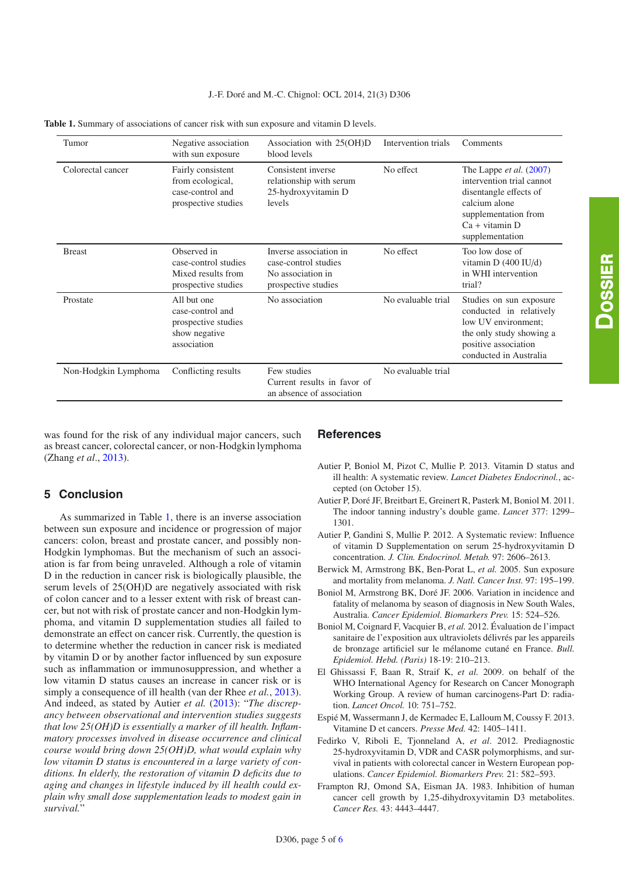| Tumor                | Negative association<br>with sun exposure                                              | Association with 25(OH)D<br>blood levels                                                   | Intervention trials | Comments                                                                                                                                                              |
|----------------------|----------------------------------------------------------------------------------------|--------------------------------------------------------------------------------------------|---------------------|-----------------------------------------------------------------------------------------------------------------------------------------------------------------------|
| Colorectal cancer    | Fairly consistent<br>from ecological,<br>case-control and<br>prospective studies       | Consistent inverse<br>relationship with serum<br>25-hydroxyvitamin D<br>levels             | No effect           | The Lappe <i>et al.</i> (2007)<br>intervention trial cannot<br>disentangle effects of<br>calcium alone<br>supplementation from<br>$Ca + vitamin D$<br>supplementation |
| <b>Breast</b>        | Observed in<br>case-control studies<br>Mixed results from<br>prospective studies       | Inverse association in<br>case-control studies<br>No association in<br>prospective studies | No effect           | Too low dose of<br>vitamin $D(400 \text{ IU/d})$<br>in WHI intervention<br>trial?                                                                                     |
| Prostate             | All but one<br>case-control and<br>prospective studies<br>show negative<br>association | No association                                                                             | No evaluable trial  | Studies on sun exposure<br>conducted in relatively<br>low UV environment:<br>the only study showing a<br>positive association<br>conducted in Australia               |
| Non-Hodgkin Lymphoma | Conflicting results                                                                    | Few studies<br>Current results in favor of<br>an absence of association                    | No evaluable trial  |                                                                                                                                                                       |

<span id="page-4-9"></span>**Table 1.** Summary of associations of cancer risk with sun exposure and vitamin D levels.

was found for the risk of any individual major cancers, such as breast cancer, colorectal cancer, or non-Hodgkin lymphoma (Zhang *et al*., [2013\)](#page-5-19).

## **5 Conclusion**

As summarized in Table [1,](#page-4-9) there is an inverse association between sun exposure and incidence or progression of major cancers: colon, breast and prostate cancer, and possibly non-Hodgkin lymphomas. But the mechanism of such an association is far from being unraveled. Although a role of vitamin D in the reduction in cancer risk is biologically plausible, the serum levels of 25(OH)D are negatively associated with risk of colon cancer and to a lesser extent with risk of breast cancer, but not with risk of prostate cancer and non-Hodgkin lymphoma, and vitamin D supplementation studies all failed to demonstrate an effect on cancer risk. Currently, the question is to determine whether the reduction in cancer risk is mediated by vitamin D or by another factor influenced by sun exposure such as inflammation or immunosuppression, and whether a low vitamin D status causes an increase in cancer risk or is simply a consequence of ill health (van der Rhee *et al.*, [2013](#page-5-8)). And indeed, as stated by Autier *et al.* [\(2013\)](#page-4-7): "*The discrepancy between observational and intervention studies suggests that low 25(OH)D is essentially a marker of ill health. Inflammatory processes involved in disease occurrence and clinical course would bring down 25(OH)D, what would explain why low vitamin D status is encountered in a large variety of conditions. In elderly, the restoration of vitamin D deficits due to aging and changes in lifestyle induced by ill health could explain why small dose supplementation leads to modest gain in survival.*"

## **References**

- <span id="page-4-7"></span>Autier P, Boniol M, Pizot C, Mullie P. 2013. Vitamin D status and ill health: A systematic review. *Lancet Diabetes Endocrinol.*, accepted (on October 15).
- <span id="page-4-1"></span>Autier P, Doré JF, Breitbart E, Greinert R, Pasterk M, Boniol M. 2011. The indoor tanning industry's double game. *Lancet* 377: 1299– 1301.
- <span id="page-4-6"></span>Autier P, Gandini S, Mullie P. 2012. A Systematic review: Influence of vitamin D Supplementation on serum 25-hydroxyvitamin D concentration. *J. Clin. Endocrinol. Metab.* 97: 2606–2613.
- <span id="page-4-3"></span>Berwick M, Armstrong BK, Ben-Porat L, *et al.* 2005. Sun exposure and mortality from melanoma. *J. Natl. Cancer Inst.* 97: 195–199.
- <span id="page-4-4"></span>Boniol M, Armstrong BK, Doré JF. 2006. Variation in incidence and fatality of melanoma by season of diagnosis in New South Wales, Australia. *Cancer Epidemiol. Biomarkers Prev.* 15: 524–526.
- <span id="page-4-8"></span>Boniol M, Coignard F, Vacquier B, *et al.* 2012. Évaluation de l'impact sanitaire de l'exposition aux ultraviolets délivrés par les appareils de bronzage artificiel sur le mélanome cutané en France. *Bull. Epidemiol. Hebd. (Paris)* 18-19: 210–213.
- El Ghissassi F, Baan R, Straif K, *et al.* 2009. on behalf of the WHO International Agency for Research on Cancer Monograph Working Group. A review of human carcinogens-Part D: radiation. *Lancet Oncol.* 10: 751–752.
- <span id="page-4-2"></span>Espié M, Wassermann J, de Kermadec E, Lalloum M, Coussy F. 2013. Vitamine D et cancers. *Presse Med.* 42: 1405–1411.
- <span id="page-4-5"></span>Fedirko V, Riboli E, Tjonneland A, *et al*. 2012. Prediagnostic 25-hydroxyvitamin D, VDR and CASR polymorphisms, and survival in patients with colorectal cancer in Western European populations. *Cancer Epidemiol. Biomarkers Prev.* 21: 582–593.
- <span id="page-4-0"></span>Frampton RJ, Omond SA, Eisman JA. 1983. Inhibition of human cancer cell growth by 1,25-dihydroxyvitamin D3 metabolites. *Cancer Res.* 43: 4443–4447.